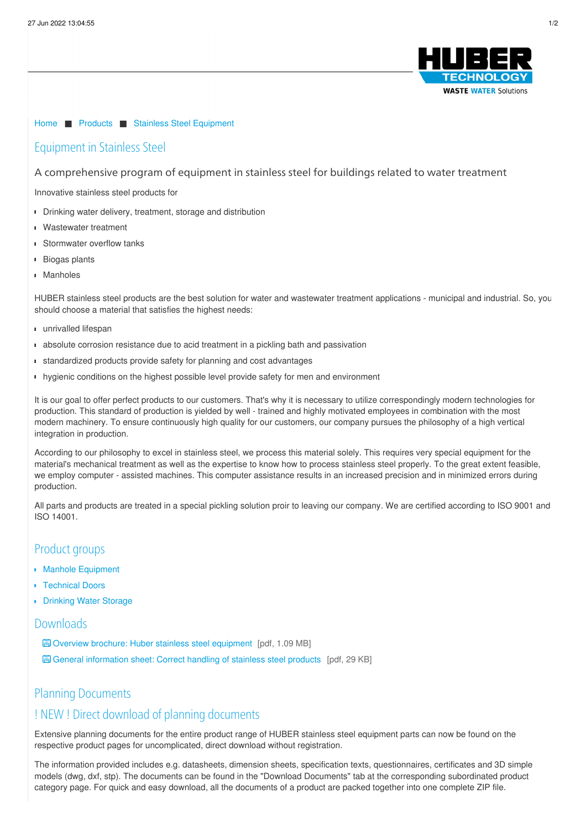

#### [Home](/) ■ [Products](/products.html) ■ Stainless Steel [Equipment](/tuotteet/tuotteet-ruostumattomasta-teraeksestae.html)

## Equipment in Stainless Steel

A comprehensive program of equipment in stainless steel for buildings related to water treatment

Innovative stainless steel products for

- Drinking water delivery, treatment, storage and distribution
- [Wastewater](/imprint/privacy-policy.html) treatment
- Stormwater overflow tanks
- Biogas plants
- Manholes

HUBER stainless steel products are the best solution for water and wastewater treatment applications - municipal and industrial. So, you should choose a material that [satisfies](/imprint/terms.html) the highest needs:

- u[nrivalled](#) lifespan
- absolute corrosion resistance due to acid treatment in a pickling bath and passivation
- standardized products provide safety for planning and cost advantages
- hygienic conditions on the highest possible level provide safety for men and environment

It is our goal to offer perfect products to our customers. That's why it is necessary to utilize correspondingly modern technologies for production. This standard of production is yielded by well - trained and highly motivated employees in combination with the most modern machinery. To ensure continuously high quality for our customers, our company pursues the philosophy of a high vertical integration in production.

According to our philosophy to excel in stainless steel, we process this material solely. This requires very special equipment for the material's mechanical treatment as well as the expertise to know how to process stainless steel properly. To the great extent feasible, we employ computer - assisted machines. This computer assistance results in an increased precision and in minimized errors during production.

All parts and products are treated in a special pickling solution proir to leaving our company. We are certified according to ISO 9001 and ISO 14001.

# Product groups

- **Manhole [Equipment](/tuotteet/tuotteet-ruostumattomasta-teraeksestae/miesluukut.html)**
- [Technical](/tuotteet/tuotteet-ruostumattomasta-teraeksestae/tekniset-ovet.html) Doors
- **[Drinking](/tuotteet/tuotteet-ruostumattomasta-teraeksestae/juomavesisaeilioet.html) Water Storage**

## **Downloads**

Overview brochure: Huber stainless steel [equipment](/fileadmin/01_products/14_edelstahlausruestung/pro_ue_ed_en.pdf) [pdf, 1.09 MB]

General [information](/fileadmin/01_products/14_edelstahlausruestung/en_Umgang_mit_Edelstahlprodukten.pdf) sheet: Correct handling of stainless steel products [pdf, 29 KB]

#### Planning Documents

#### ! NEW ! Direct download of planning documents

Extensive planning documents for the entire product range of HUBER stainless steel equipment parts can now be found on the respective product pages for uncomplicated, direct download without registration.

The information provided includes e.g. datasheets, dimension sheets, specification texts, questionnaires, certificates and 3D simple models (dwg, dxf, stp). The documents can be found in the "Download Documents" tab at the corresponding subordinated product category page. For quick and easy download, all the documents of a product are packed together into one complete ZIP file.